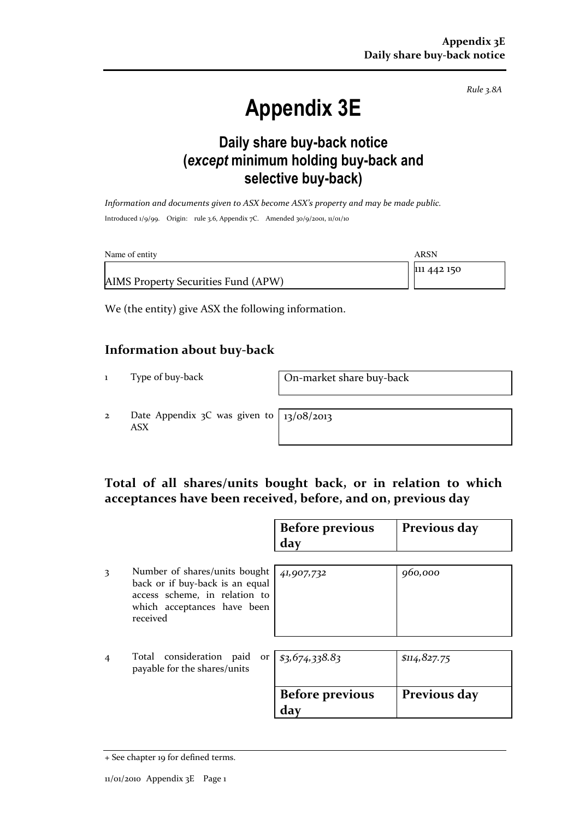Rule 3.8A

# Appendix 3E

### Daily share buy-back notice (except minimum holding buy-back and selective buy-back)

Information and documents given to ASX become ASX's property and may be made public. Introduced 1/9/99. Origin: rule 3.6, Appendix 7C. Amended 30/9/2001, 11/01/10

| Name of entity                      | ARSN        |
|-------------------------------------|-------------|
|                                     | 111 442 150 |
| AIMS Property Securities Fund (APW) |             |

We (the entity) give ASX the following information.

#### Information about buy-back

1 Type of buy-back On-market share buy-back

2 Date Appendix 3C was given to ASX

13/08/2013

#### Total of all shares/units bought back, or in relation to which acceptances have been received, before, and on, previous day

|                |                                                                                                                                              | <b>Before previous</b><br>day | Previous day |
|----------------|----------------------------------------------------------------------------------------------------------------------------------------------|-------------------------------|--------------|
| 3              | Number of shares/units bought<br>back or if buy-back is an equal<br>access scheme, in relation to<br>which acceptances have been<br>received | 41,907,732                    | 960,000      |
| $\overline{4}$ | Total consideration paid<br>payable for the shares/units                                                                                     | or $ $ \$3,674,338.83         | \$114,827.75 |
|                |                                                                                                                                              | <b>Before previous</b><br>dav | Previous day |

<sup>+</sup> See chapter 19 for defined terms.